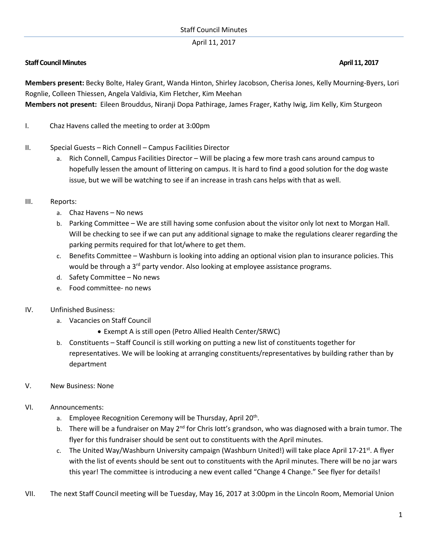## April 11, 2017

## **Staff Council Minutes April 11, 2017**

**Members present:** Becky Bolte, Haley Grant, Wanda Hinton, Shirley Jacobson, Cherisa Jones, Kelly Mourning-Byers, Lori Rognlie, Colleen Thiessen, Angela Valdivia, Kim Fletcher, Kim Meehan

**Members not present:** Eileen Brouddus, Niranji Dopa Pathirage, James Frager, Kathy Iwig, Jim Kelly, Kim Sturgeon

- I. Chaz Havens called the meeting to order at 3:00pm
- II. Special Guests Rich Connell Campus Facilities Director
	- a. Rich Connell, Campus Facilities Director Will be placing a few more trash cans around campus to hopefully lessen the amount of littering on campus. It is hard to find a good solution for the dog waste issue, but we will be watching to see if an increase in trash cans helps with that as well.
- III. Reports:
	- a. Chaz Havens No news
	- b. Parking Committee We are still having some confusion about the visitor only lot next to Morgan Hall. Will be checking to see if we can put any additional signage to make the regulations clearer regarding the parking permits required for that lot/where to get them.
	- c. Benefits Committee Washburn is looking into adding an optional vision plan to insurance policies. This would be through a  $3<sup>rd</sup>$  party vendor. Also looking at employee assistance programs.
	- d. Safety Committee No news
	- e. Food committee- no news
- IV. Unfinished Business:
	- a. Vacancies on Staff Council
		- Exempt A is still open (Petro Allied Health Center/SRWC)
	- b. Constituents Staff Council is still working on putting a new list of constituents together for representatives. We will be looking at arranging constituents/representatives by building rather than by department
- V. New Business: None
- VI. Announcements:
	- a. Employee Recognition Ceremony will be Thursday, April 20<sup>th</sup>.
	- b. There will be a fundraiser on May 2<sup>nd</sup> for Chris lott's grandson, who was diagnosed with a brain tumor. The flyer for this fundraiser should be sent out to constituents with the April minutes.
	- c. The United Way/Washburn University campaign (Washburn United!) will take place April 17-21st. A flyer with the list of events should be sent out to constituents with the April minutes. There will be no jar wars this year! The committee is introducing a new event called "Change 4 Change." See flyer for details!
- VII. The next Staff Council meeting will be Tuesday, May 16, 2017 at 3:00pm in the Lincoln Room, Memorial Union